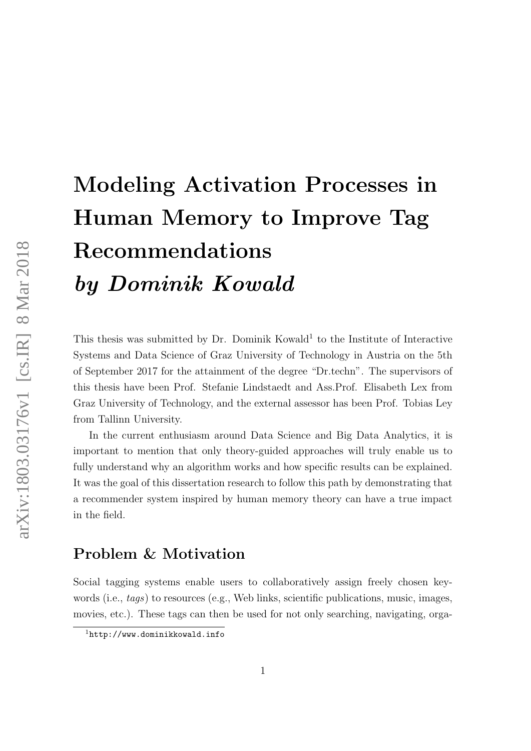# Modeling Activation Processes in Human Memory to Improve Tag Recommendations by Dominik Kowald

This thesis was submitted by Dr. Dominik Kowald<sup>[1](#page-0-0)</sup> to the Institute of Interactive Systems and Data Science of Graz University of Technology in Austria on the 5th of September 2017 for the attainment of the degree "Dr.techn". The supervisors of this thesis have been Prof. Stefanie Lindstaedt and Ass.Prof. Elisabeth Lex from Graz University of Technology, and the external assessor has been Prof. Tobias Ley from Tallinn University.

In the current enthusiasm around Data Science and Big Data Analytics, it is important to mention that only theory-guided approaches will truly enable us to fully understand why an algorithm works and how specific results can be explained. It was the goal of this dissertation research to follow this path by demonstrating that a recommender system inspired by human memory theory can have a true impact in the field.

#### Problem & Motivation

Social tagging systems enable users to collaboratively assign freely chosen keywords (i.e., *tags*) to resources (e.g., Web links, scientific publications, music, images, movies, etc.). These tags can then be used for not only searching, navigating, orga-

<span id="page-0-0"></span><sup>1</sup><http://www.dominikkowald.info>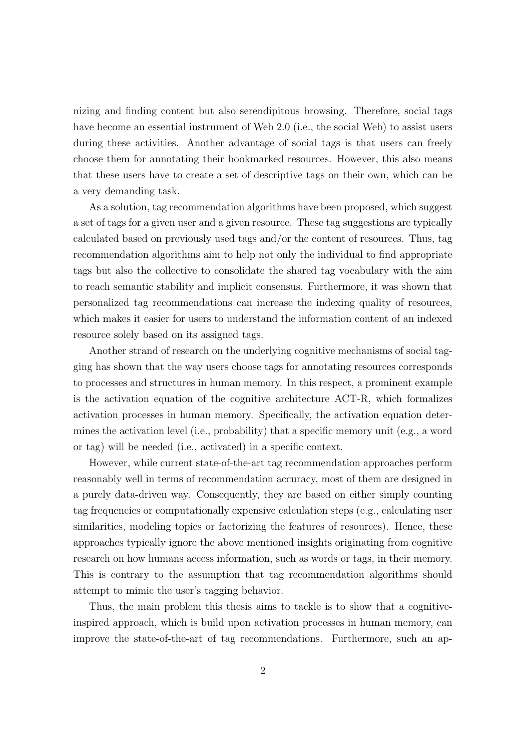nizing and finding content but also serendipitous browsing. Therefore, social tags have become an essential instrument of Web 2.0 (i.e., the social Web) to assist users during these activities. Another advantage of social tags is that users can freely choose them for annotating their bookmarked resources. However, this also means that these users have to create a set of descriptive tags on their own, which can be a very demanding task.

As a solution, tag recommendation algorithms have been proposed, which suggest a set of tags for a given user and a given resource. These tag suggestions are typically calculated based on previously used tags and/or the content of resources. Thus, tag recommendation algorithms aim to help not only the individual to find appropriate tags but also the collective to consolidate the shared tag vocabulary with the aim to reach semantic stability and implicit consensus. Furthermore, it was shown that personalized tag recommendations can increase the indexing quality of resources, which makes it easier for users to understand the information content of an indexed resource solely based on its assigned tags.

Another strand of research on the underlying cognitive mechanisms of social tagging has shown that the way users choose tags for annotating resources corresponds to processes and structures in human memory. In this respect, a prominent example is the activation equation of the cognitive architecture ACT-R, which formalizes activation processes in human memory. Specifically, the activation equation determines the activation level (i.e., probability) that a specific memory unit (e.g., a word or tag) will be needed (i.e., activated) in a specific context.

However, while current state-of-the-art tag recommendation approaches perform reasonably well in terms of recommendation accuracy, most of them are designed in a purely data-driven way. Consequently, they are based on either simply counting tag frequencies or computationally expensive calculation steps (e.g., calculating user similarities, modeling topics or factorizing the features of resources). Hence, these approaches typically ignore the above mentioned insights originating from cognitive research on how humans access information, such as words or tags, in their memory. This is contrary to the assumption that tag recommendation algorithms should attempt to mimic the user's tagging behavior.

Thus, the main problem this thesis aims to tackle is to show that a cognitiveinspired approach, which is build upon activation processes in human memory, can improve the state-of-the-art of tag recommendations. Furthermore, such an ap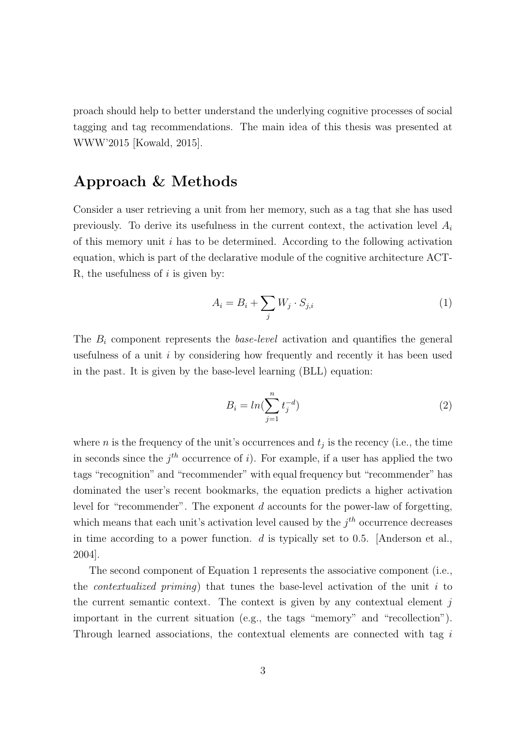proach should help to better understand the underlying cognitive processes of social tagging and tag recommendations. The main idea of this thesis was presented at WWW'2015 [\[Kowald, 2015\]](#page-9-0).

#### Approach & Methods

Consider a user retrieving a unit from her memory, such as a tag that she has used previously. To derive its usefulness in the current context, the activation level  $A_i$ of this memory unit i has to be determined. According to the following activation equation, which is part of the declarative module of the cognitive architecture ACT-R, the usefulness of  $i$  is given by:

<span id="page-2-0"></span>
$$
A_i = B_i + \sum_j W_j \cdot S_{j,i} \tag{1}
$$

The  $B_i$  component represents the *base-level* activation and quantifies the general usefulness of a unit  $i$  by considering how frequently and recently it has been used in the past. It is given by the base-level learning (BLL) equation:

$$
B_i = \ln(\sum_{j=1}^n t_j^{-d})
$$
\n(2)

where *n* is the frequency of the unit's occurrences and  $t_j$  is the recency (i.e., the time in seconds since the  $j<sup>th</sup>$  occurrence of i). For example, if a user has applied the two tags "recognition" and "recommender" with equal frequency but "recommender" has dominated the user's recent bookmarks, the equation predicts a higher activation level for "recommender". The exponent d accounts for the power-law of forgetting, which means that each unit's activation level caused by the  $j<sup>th</sup>$  occurrence decreases in time according to a power function.  $d$  is typically set to 0.5. [\[Anderson et al.,](#page-9-1) [2004\]](#page-9-1).

The second component of Equation [1](#page-2-0) represents the associative component (i.e., the *contextualized priming*) that tunes the base-level activation of the unit  $i$  to the current semantic context. The context is given by any contextual element  $j$ important in the current situation (e.g., the tags "memory" and "recollection"). Through learned associations, the contextual elements are connected with tag i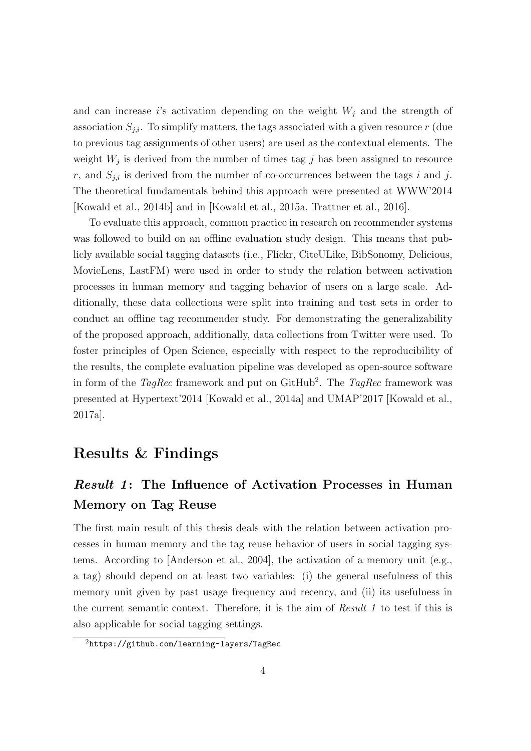and can increase is activation depending on the weight  $W_j$  and the strength of association  $S_{j,i}$ . To simplify matters, the tags associated with a given resource r (due to previous tag assignments of other users) are used as the contextual elements. The weight  $W_j$  is derived from the number of times tag  $j$  has been assigned to resource r, and  $S_{j,i}$  is derived from the number of co-occurrences between the tags i and j. The theoretical fundamentals behind this approach were presented at WWW'2014 [\[Kowald et al., 2014b\]](#page-10-0) and in [\[Kowald et al., 2015a,](#page-9-2) [Trattner et al., 2016\]](#page-11-0).

To evaluate this approach, common practice in research on recommender systems was followed to build on an offline evaluation study design. This means that publicly available social tagging datasets (i.e., Flickr, CiteULike, BibSonomy, Delicious, MovieLens, LastFM) were used in order to study the relation between activation processes in human memory and tagging behavior of users on a large scale. Additionally, these data collections were split into training and test sets in order to conduct an offline tag recommender study. For demonstrating the generalizability of the proposed approach, additionally, data collections from Twitter were used. To foster principles of Open Science, especially with respect to the reproducibility of the results, the complete evaluation pipeline was developed as open-source software in form of the  $TagRec$  framework and put on GitHub<sup>[2](#page-3-0)</sup>. The  $TagRec$  framework was presented at Hypertext'2014 [\[Kowald et al., 2014a\]](#page-9-3) and UMAP'2017 [\[Kowald et al.,](#page-9-4) [2017a\]](#page-9-4).

#### Results & Findings

## Result 1: The Influence of Activation Processes in Human Memory on Tag Reuse

The first main result of this thesis deals with the relation between activation processes in human memory and the tag reuse behavior of users in social tagging systems. According to [\[Anderson et al., 2004\]](#page-9-1), the activation of a memory unit (e.g., a tag) should depend on at least two variables: (i) the general usefulness of this memory unit given by past usage frequency and recency, and (ii) its usefulness in the current semantic context. Therefore, it is the aim of Result 1 to test if this is also applicable for social tagging settings.

<span id="page-3-0"></span><sup>2</sup><https://github.com/learning-layers/TagRec>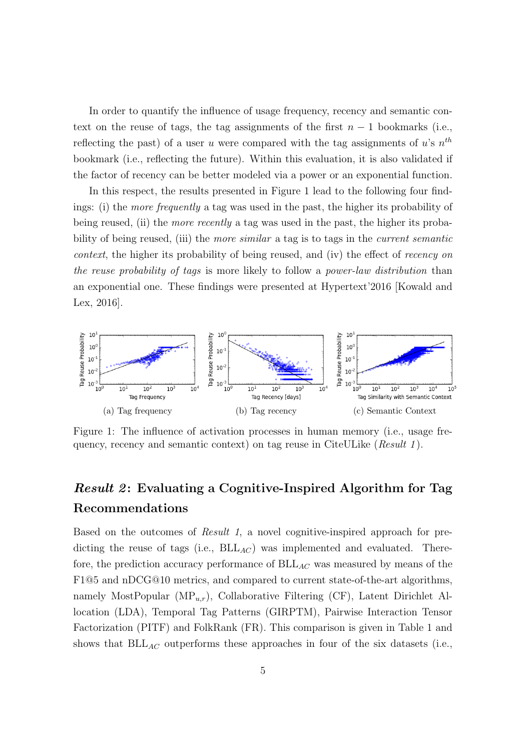In order to quantify the influence of usage frequency, recency and semantic context on the reuse of tags, the tag assignments of the first  $n-1$  bookmarks (i.e., reflecting the past) of a user u were compared with the tag assignments of u's  $n^{th}$ bookmark (i.e., reflecting the future). Within this evaluation, it is also validated if the factor of recency can be better modeled via a power or an exponential function.

In this respect, the results presented in Figure [1](#page-4-0) lead to the following four findings: (i) the more frequently a tag was used in the past, the higher its probability of being reused, (ii) the *more recently* a tag was used in the past, the higher its probability of being reused, (iii) the *more similar* a tag is to tags in the *current semantic* context, the higher its probability of being reused, and (iv) the effect of recency on the reuse probability of tags is more likely to follow a power-law distribution than an exponential one. These findings were presented at Hypertext'2016 [\[Kowald and](#page-10-1) [Lex, 2016\]](#page-10-1).



<span id="page-4-0"></span>Figure 1: The influence of activation processes in human memory (i.e., usage frequency, recency and semantic context) on tag reuse in CiteULike  $(Result 1)$ .

#### Result 2: Evaluating a Cognitive-Inspired Algorithm for Tag Recommendations

Based on the outcomes of Result 1, a novel cognitive-inspired approach for predicting the reuse of tags (i.e.,  $BLL_{AC}$ ) was implemented and evaluated. Therefore, the prediction accuracy performance of  $BLL_{AC}$  was measured by means of the F1@5 and nDCG@10 metrics, and compared to current state-of-the-art algorithms, namely MostPopular  $(MP_{u,r})$ , Collaborative Filtering (CF), Latent Dirichlet Allocation (LDA), Temporal Tag Patterns (GIRPTM), Pairwise Interaction Tensor Factorization (PITF) and FolkRank (FR). This comparison is given in Table [1](#page-5-0) and shows that  $BLL_{AC}$  outperforms these approaches in four of the six datasets (i.e.,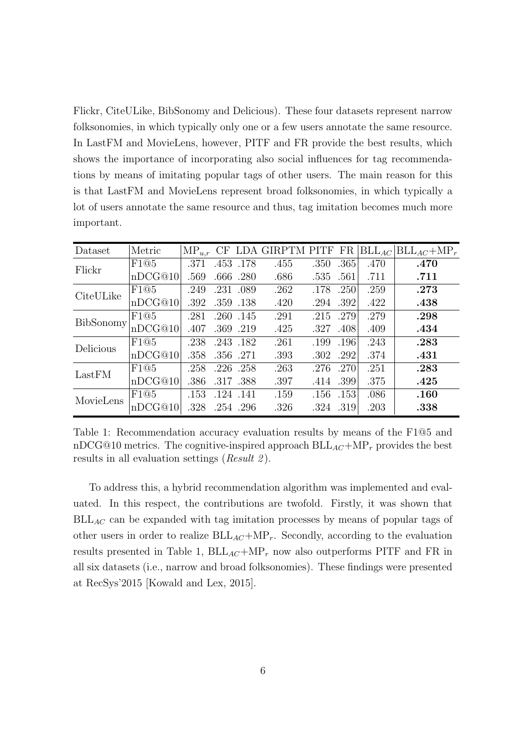Flickr, CiteULike, BibSonomy and Delicious). These four datasets represent narrow folksonomies, in which typically only one or a few users annotate the same resource. In LastFM and MovieLens, however, PITF and FR provide the best results, which shows the importance of incorporating also social influences for tag recommendations by means of imitating popular tags of other users. The main reason for this is that LastFM and MovieLens represent broad folksonomies, in which typically a lot of users annotate the same resource and thus, tag imitation becomes much more important.

| Dataset   | Metric  | $MP_{u,r}$ |      |           | CF LDA GIRPTM PITF FR |           |      | $BLL_{AC}$ | $BLL_{AC} + MP_r$ |
|-----------|---------|------------|------|-----------|-----------------------|-----------|------|------------|-------------------|
| Flickr    | F1@5    | .371       |      | .453 .178 | .455                  | .350      | .365 | .470       | .470              |
|           | nDCG@10 | .569       |      | .666 .280 | .686                  | .535 .561 |      | .711       | .711              |
| CiteULike | F1@5    | .249       |      | .231 .089 | .262                  | .178      | .250 | .259       | .273              |
|           | nDCG@10 | .392       |      | .359 .138 | .420                  | .294      | .392 | .422       | .438              |
| BibSonomy | F1@5    | .281       |      | .260 .145 | .291                  | .215      | .279 | .279       | .298              |
|           | nDCG@10 | .407       |      | .369 .219 | .425                  | .327      | .408 | .409       | .434              |
| Delicious | F1@5    | .238       |      | .243.182  | .261                  | .199      | .196 | .243       | .283              |
|           | nDCG@10 | .358       |      | .356 .271 | .393                  | .302      | .292 | .374       | .431              |
| LastFM    | F1@5    | .258       |      | .226 .258 | .263                  | .276      | .270 | .251       | .283              |
|           | nDCG@10 | .386       |      | .317.388  | .397                  | .414      | .399 | .375       | .425              |
| MovieLens | F1@5    | .153       | .124 | .141      | .159                  | .156      | .153 | .086       | .160              |
|           | nDCG@10 | .328       |      | .254 .296 | .326                  | .324 .319 |      | .203       | .338              |

<span id="page-5-0"></span>Table 1: Recommendation accuracy evaluation results by means of the F1@5 and nDCG@10 metrics. The cognitive-inspired approach  $BLL_{AC} + MP<sub>r</sub>$  provides the best results in all evaluation settings ( $Result 2$ ).

To address this, a hybrid recommendation algorithm was implemented and evaluated. In this respect, the contributions are twofold. Firstly, it was shown that  $BLL_{AC}$  can be expanded with tag imitation processes by means of popular tags of other users in order to realize  $BLL_{AC} + MP_{r}$ . Secondly, according to the evaluation results presented in Table [1,](#page-5-0)  $BLL_{AC}+MP_r$  now also outperforms PITF and FR in all six datasets (i.e., narrow and broad folksonomies). These findings were presented at RecSys'2015 [\[Kowald and Lex, 2015\]](#page-10-2).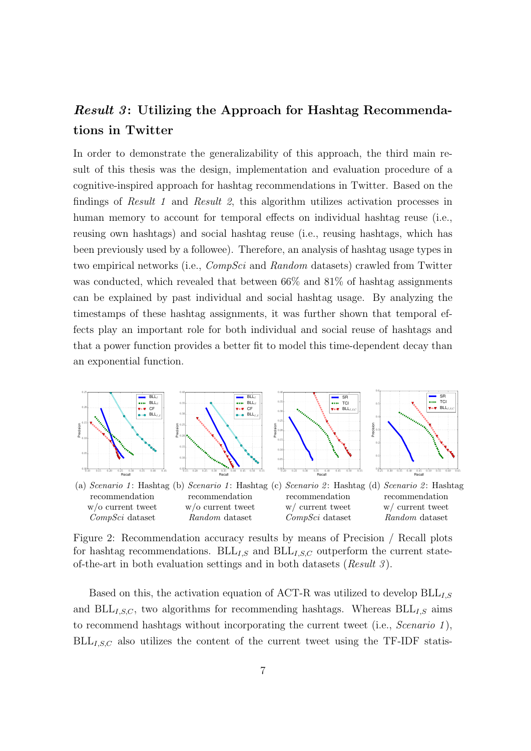### Result 3: Utilizing the Approach for Hashtag Recommendations in Twitter

In order to demonstrate the generalizability of this approach, the third main result of this thesis was the design, implementation and evaluation procedure of a cognitive-inspired approach for hashtag recommendations in Twitter. Based on the findings of Result 1 and Result 2, this algorithm utilizes activation processes in human memory to account for temporal effects on individual hashtag reuse (i.e., reusing own hashtags) and social hashtag reuse (i.e., reusing hashtags, which has been previously used by a followee). Therefore, an analysis of hashtag usage types in two empirical networks (i.e., *CompSci* and *Random* datasets) crawled from Twitter was conducted, which revealed that between 66% and 81% of hashtag assignments can be explained by past individual and social hashtag usage. By analyzing the timestamps of these hashtag assignments, it was further shown that temporal effects play an important role for both individual and social reuse of hashtags and that a power function provides a better fit to model this time-dependent decay than an exponential function.



<span id="page-6-0"></span>Figure 2: Recommendation accuracy results by means of Precision / Recall plots for hashtag recommendations.  $BLL_{I,S}$  and  $BLL_{I,S,C}$  outperform the current stateof-the-art in both evaluation settings and in both datasets (Result  $3$ ).

Based on this, the activation equation of ACT-R was utilized to develop  $BLL_{I,S}$ and  $BLL_{I,S,C}$ , two algorithms for recommending hashtags. Whereas  $BLL_{I,S}$  aims to recommend hashtags without incorporating the current tweet (i.e., *Scenario 1*),  $BLL_{I,S,C}$  also utilizes the content of the current tweet using the TF-IDF statis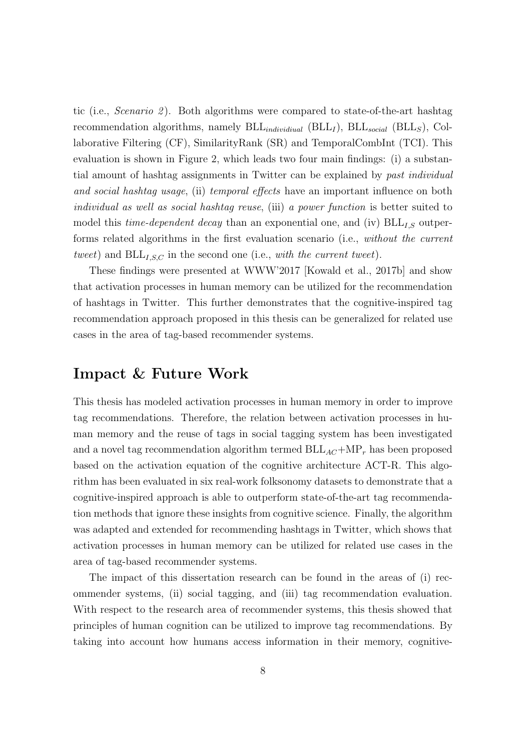tic (i.e., *Scenario 2*). Both algorithms were compared to state-of-the-art hashtag recommendation algorithms, namely  $BLL_{individual}$  ( $BLL_I$ ),  $BLL_{social}$  ( $BLL_S$ ), Collaborative Filtering (CF), SimilarityRank (SR) and TemporalCombInt (TCI). This evaluation is shown in Figure [2,](#page-6-0) which leads two four main findings: (i) a substantial amount of hashtag assignments in Twitter can be explained by past individual and social hashtag usage, (ii) temporal effects have an important influence on both individual as well as social hashtag reuse, (iii) a power function is better suited to model this *time-dependent decay* than an exponential one, and (iv)  $BLL_{I,S}$  outperforms related algorithms in the first evaluation scenario (i.e., without the current tweet) and  $BLL_{I,S,C}$  in the second one (i.e., with the current tweet).

These findings were presented at WWW'2017 [\[Kowald et al., 2017b\]](#page-10-3) and show that activation processes in human memory can be utilized for the recommendation of hashtags in Twitter. This further demonstrates that the cognitive-inspired tag recommendation approach proposed in this thesis can be generalized for related use cases in the area of tag-based recommender systems.

#### Impact & Future Work

This thesis has modeled activation processes in human memory in order to improve tag recommendations. Therefore, the relation between activation processes in human memory and the reuse of tags in social tagging system has been investigated and a novel tag recommendation algorithm termed  $BLL_{AC} + MP<sub>r</sub>$  has been proposed based on the activation equation of the cognitive architecture ACT-R. This algorithm has been evaluated in six real-work folksonomy datasets to demonstrate that a cognitive-inspired approach is able to outperform state-of-the-art tag recommendation methods that ignore these insights from cognitive science. Finally, the algorithm was adapted and extended for recommending hashtags in Twitter, which shows that activation processes in human memory can be utilized for related use cases in the area of tag-based recommender systems.

The impact of this dissertation research can be found in the areas of (i) recommender systems, (ii) social tagging, and (iii) tag recommendation evaluation. With respect to the research area of recommender systems, this thesis showed that principles of human cognition can be utilized to improve tag recommendations. By taking into account how humans access information in their memory, cognitive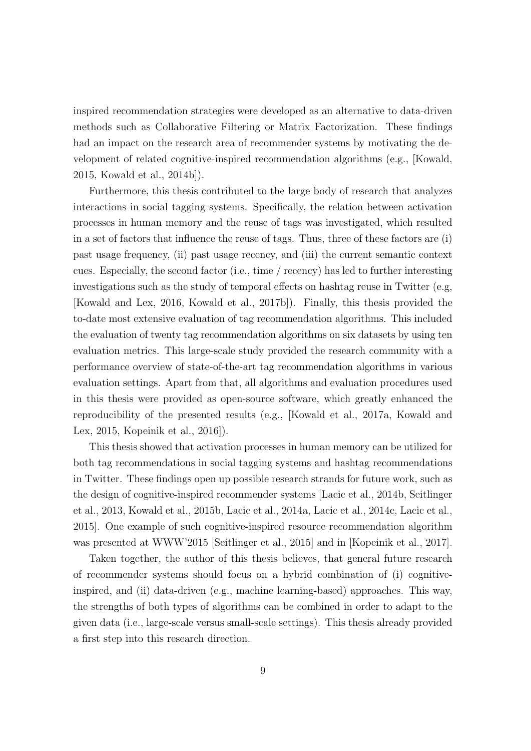inspired recommendation strategies were developed as an alternative to data-driven methods such as Collaborative Filtering or Matrix Factorization. These findings had an impact on the research area of recommender systems by motivating the development of related cognitive-inspired recommendation algorithms (e.g., [\[Kowald,](#page-9-0) [2015,](#page-9-0) [Kowald et al., 2014b\]](#page-10-0)).

Furthermore, this thesis contributed to the large body of research that analyzes interactions in social tagging systems. Specifically, the relation between activation processes in human memory and the reuse of tags was investigated, which resulted in a set of factors that influence the reuse of tags. Thus, three of these factors are (i) past usage frequency, (ii) past usage recency, and (iii) the current semantic context cues. Especially, the second factor (i.e., time / recency) has led to further interesting investigations such as the study of temporal effects on hashtag reuse in Twitter (e.g, [\[Kowald and Lex, 2016,](#page-10-1) [Kowald et al., 2017b\]](#page-10-3)). Finally, this thesis provided the to-date most extensive evaluation of tag recommendation algorithms. This included the evaluation of twenty tag recommendation algorithms on six datasets by using ten evaluation metrics. This large-scale study provided the research community with a performance overview of state-of-the-art tag recommendation algorithms in various evaluation settings. Apart from that, all algorithms and evaluation procedures used in this thesis were provided as open-source software, which greatly enhanced the reproducibility of the presented results (e.g., [\[Kowald et al., 2017a,](#page-9-4) [Kowald and](#page-10-2) [Lex, 2015,](#page-10-2) [Kopeinik et al., 2016\]](#page-9-5)).

This thesis showed that activation processes in human memory can be utilized for both tag recommendations in social tagging systems and hashtag recommendations in Twitter. These findings open up possible research strands for future work, such as the design of cognitive-inspired recommender systems [\[Lacic et al., 2014b,](#page-10-4) [Seitlinger](#page-11-1) [et al., 2013,](#page-11-1) [Kowald et al., 2015b,](#page-10-5) [Lacic et al., 2014a,](#page-10-6) [Lacic et al., 2014c,](#page-11-2) [Lacic et al.,](#page-10-7) [2015\]](#page-10-7). One example of such cognitive-inspired resource recommendation algorithm was presented at WWW'2015 [\[Seitlinger et al., 2015\]](#page-11-3) and in [\[Kopeinik et al., 2017\]](#page-9-6).

Taken together, the author of this thesis believes, that general future research of recommender systems should focus on a hybrid combination of (i) cognitiveinspired, and (ii) data-driven (e.g., machine learning-based) approaches. This way, the strengths of both types of algorithms can be combined in order to adapt to the given data (i.e., large-scale versus small-scale settings). This thesis already provided a first step into this research direction.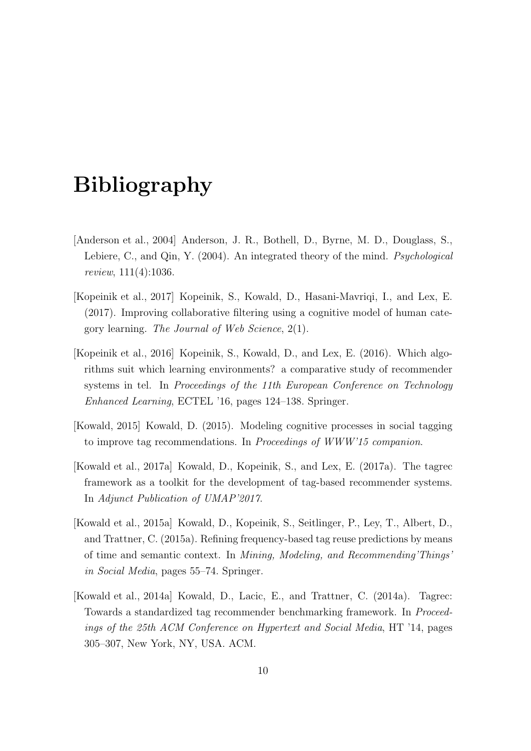# Bibliography

- <span id="page-9-1"></span>[Anderson et al., 2004] Anderson, J. R., Bothell, D., Byrne, M. D., Douglass, S., Lebiere, C., and Qin, Y. (2004). An integrated theory of the mind. Psychological review, 111(4):1036.
- <span id="page-9-6"></span>[Kopeinik et al., 2017] Kopeinik, S., Kowald, D., Hasani-Mavriqi, I., and Lex, E. (2017). Improving collaborative filtering using a cognitive model of human category learning. The Journal of Web Science, 2(1).
- <span id="page-9-5"></span>[Kopeinik et al., 2016] Kopeinik, S., Kowald, D., and Lex, E. (2016). Which algorithms suit which learning environments? a comparative study of recommender systems in tel. In Proceedings of the 11th European Conference on Technology Enhanced Learning, ECTEL '16, pages 124–138. Springer.
- <span id="page-9-0"></span>[Kowald, 2015] Kowald, D. (2015). Modeling cognitive processes in social tagging to improve tag recommendations. In Proceedings of WWW'15 companion.
- <span id="page-9-4"></span>[Kowald et al., 2017a] Kowald, D., Kopeinik, S., and Lex, E. (2017a). The tagrec framework as a toolkit for the development of tag-based recommender systems. In Adjunct Publication of UMAP'2017.
- <span id="page-9-2"></span>[Kowald et al., 2015a] Kowald, D., Kopeinik, S., Seitlinger, P., Ley, T., Albert, D., and Trattner, C. (2015a). Refining frequency-based tag reuse predictions by means of time and semantic context. In Mining, Modeling, and Recommending'Things' in Social Media, pages 55–74. Springer.
- <span id="page-9-3"></span>[Kowald et al., 2014a] Kowald, D., Lacic, E., and Trattner, C. (2014a). Tagrec: Towards a standardized tag recommender benchmarking framework. In Proceedings of the 25th ACM Conference on Hypertext and Social Media, HT '14, pages 305–307, New York, NY, USA. ACM.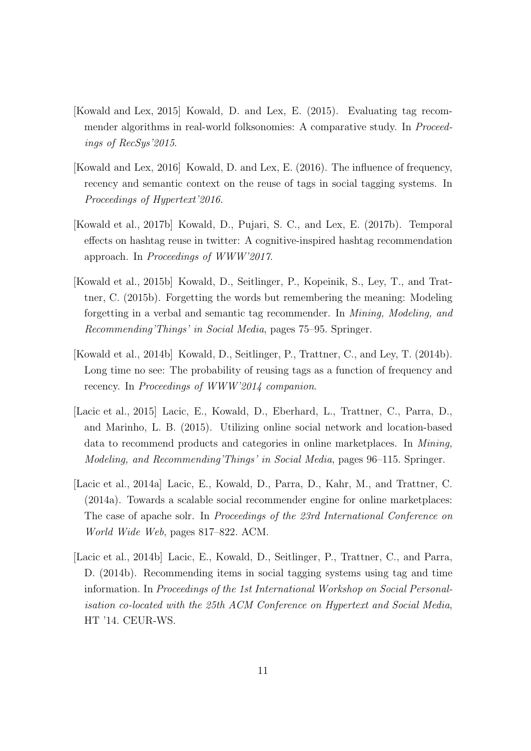- <span id="page-10-2"></span>[Kowald and Lex, 2015] Kowald, D. and Lex, E. (2015). Evaluating tag recommender algorithms in real-world folksonomies: A comparative study. In *Proceed*ings of RecSys'2015.
- <span id="page-10-1"></span>[Kowald and Lex, 2016] Kowald, D. and Lex, E. (2016). The influence of frequency, recency and semantic context on the reuse of tags in social tagging systems. In Proceedings of Hypertext'2016.
- <span id="page-10-3"></span>[Kowald et al., 2017b] Kowald, D., Pujari, S. C., and Lex, E. (2017b). Temporal effects on hashtag reuse in twitter: A cognitive-inspired hashtag recommendation approach. In Proceedings of WWW'2017.
- <span id="page-10-5"></span>[Kowald et al., 2015b] Kowald, D., Seitlinger, P., Kopeinik, S., Ley, T., and Trattner, C. (2015b). Forgetting the words but remembering the meaning: Modeling forgetting in a verbal and semantic tag recommender. In Mining, Modeling, and Recommending'Things' in Social Media, pages 75–95. Springer.
- <span id="page-10-0"></span>[Kowald et al., 2014b] Kowald, D., Seitlinger, P., Trattner, C., and Ley, T. (2014b). Long time no see: The probability of reusing tags as a function of frequency and recency. In Proceedings of WWW'2014 companion.
- <span id="page-10-7"></span>[Lacic et al., 2015] Lacic, E., Kowald, D., Eberhard, L., Trattner, C., Parra, D., and Marinho, L. B. (2015). Utilizing online social network and location-based data to recommend products and categories in online marketplaces. In Mining, Modeling, and Recommending'Things' in Social Media, pages 96–115. Springer.
- <span id="page-10-6"></span>[Lacic et al., 2014a] Lacic, E., Kowald, D., Parra, D., Kahr, M., and Trattner, C. (2014a). Towards a scalable social recommender engine for online marketplaces: The case of apache solr. In Proceedings of the 23rd International Conference on World Wide Web, pages 817–822. ACM.
- <span id="page-10-4"></span>[Lacic et al., 2014b] Lacic, E., Kowald, D., Seitlinger, P., Trattner, C., and Parra, D. (2014b). Recommending items in social tagging systems using tag and time information. In Proceedings of the 1st International Workshop on Social Personalisation co-located with the 25th ACM Conference on Hypertext and Social Media, HT '14. CEUR-WS.